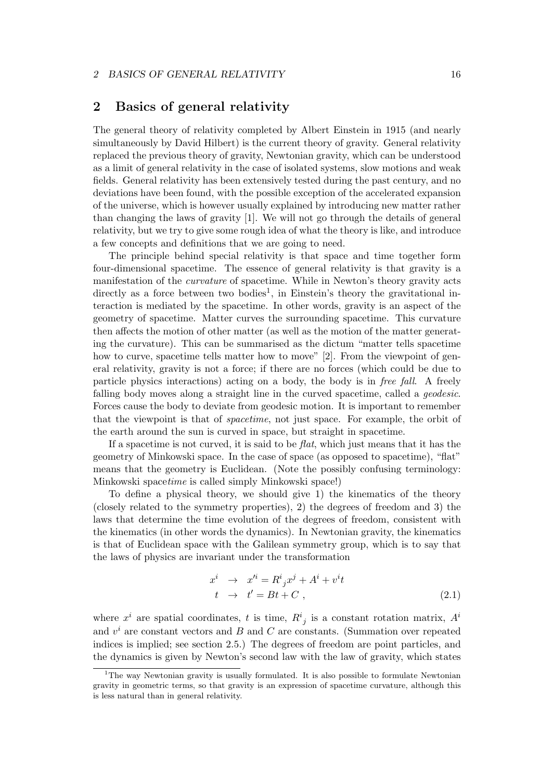# 2 Basics of general relativity

The general theory of relativity completed by Albert Einstein in 1915 (and nearly simultaneously by David Hilbert) is the current theory of gravity. General relativity replaced the previous theory of gravity, Newtonian gravity, which can be understood as a limit of general relativity in the case of isolated systems, slow motions and weak fields. General relativity has been extensively tested during the past century, and no deviations have been found, with the possible exception of the accelerated expansion of the universe, which is however usually explained by introducing new matter rather than changing the laws of gravity [1]. We will not go through the details of general relativity, but we try to give some rough idea of what the theory is like, and introduce a few concepts and definitions that we are going to need.

The principle behind special relativity is that space and time together form four-dimensional spacetime. The essence of general relativity is that gravity is a manifestation of the curvature of spacetime. While in Newton's theory gravity acts directly as a force between two bodies<sup>1</sup>, in Einstein's theory the gravitational interaction is mediated by the spacetime. In other words, gravity is an aspect of the geometry of spacetime. Matter curves the surrounding spacetime. This curvature then affects the motion of other matter (as well as the motion of the matter generating the curvature). This can be summarised as the dictum "matter tells spacetime how to curve, spacetime tells matter how to move" [2]. From the viewpoint of general relativity, gravity is not a force; if there are no forces (which could be due to particle physics interactions) acting on a body, the body is in free fall. A freely falling body moves along a straight line in the curved spacetime, called a *geodesic*. Forces cause the body to deviate from geodesic motion. It is important to remember that the viewpoint is that of spacetime, not just space. For example, the orbit of the earth around the sun is curved in space, but straight in spacetime.

If a spacetime is not curved, it is said to be  $flat$ , which just means that it has the geometry of Minkowski space. In the case of space (as opposed to spacetime), "flat" means that the geometry is Euclidean. (Note the possibly confusing terminology: Minkowski spacetime is called simply Minkowski space!)

To define a physical theory, we should give 1) the kinematics of the theory (closely related to the symmetry properties), 2) the degrees of freedom and 3) the laws that determine the time evolution of the degrees of freedom, consistent with the kinematics (in other words the dynamics). In Newtonian gravity, the kinematics is that of Euclidean space with the Galilean symmetry group, which is to say that the laws of physics are invariant under the transformation

$$
x^{i} \rightarrow x'^{i} = R^{i}_{j}x^{j} + A^{i} + v^{i}t
$$
  
\n
$$
t \rightarrow t' = Bt + C,
$$
\n(2.1)

where  $x^i$  are spatial coordinates, t is time,  $R^i_{j}$  is a constant rotation matrix,  $A^i$ and  $v^i$  are constant vectors and  $B$  and  $C$  are constants. (Summation over repeated indices is implied; see section 2.5.) The degrees of freedom are point particles, and the dynamics is given by Newton's second law with the law of gravity, which states

<sup>&</sup>lt;sup>1</sup>The way Newtonian gravity is usually formulated. It is also possible to formulate Newtonian gravity in geometric terms, so that gravity is an expression of spacetime curvature, although this is less natural than in general relativity.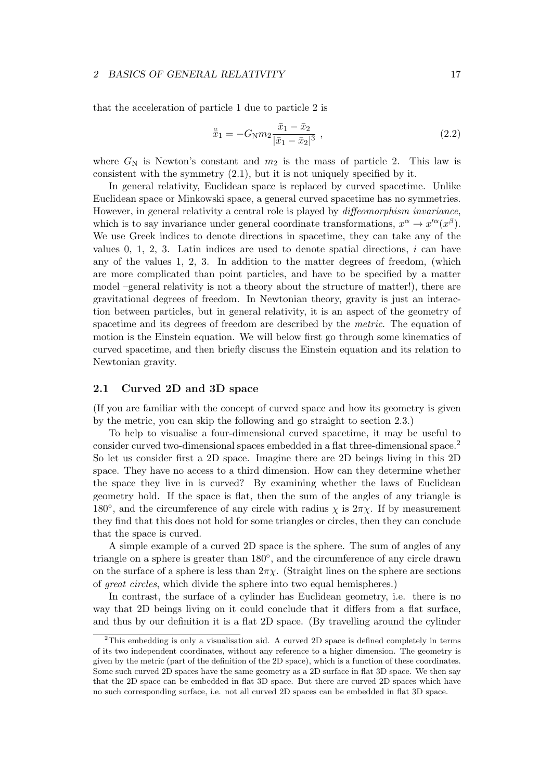that the acceleration of particle 1 due to particle 2 is

$$
\ddot{\bar{x}}_1 = -G_N m_2 \frac{\bar{x}_1 - \bar{x}_2}{|\bar{x}_1 - \bar{x}_2|^3},
$$
\n(2.2)

where  $G_N$  is Newton's constant and  $m_2$  is the mass of particle 2. This law is consistent with the symmetry (2.1), but it is not uniquely specified by it.

In general relativity, Euclidean space is replaced by curved spacetime. Unlike Euclidean space or Minkowski space, a general curved spacetime has no symmetries. However, in general relativity a central role is played by diffeomorphism invariance, which is to say invariance under general coordinate transformations,  $x^{\alpha} \to x'^{\alpha}(x^{\beta})$ . We use Greek indices to denote directions in spacetime, they can take any of the values  $0, 1, 2, 3$ . Latin indices are used to denote spatial directions, i can have any of the values 1, 2, 3. In addition to the matter degrees of freedom, (which are more complicated than point particles, and have to be specified by a matter model –general relativity is not a theory about the structure of matter!), there are gravitational degrees of freedom. In Newtonian theory, gravity is just an interaction between particles, but in general relativity, it is an aspect of the geometry of spacetime and its degrees of freedom are described by the metric. The equation of motion is the Einstein equation. We will below first go through some kinematics of curved spacetime, and then briefly discuss the Einstein equation and its relation to Newtonian gravity.

## 2.1 Curved 2D and 3D space

(If you are familiar with the concept of curved space and how its geometry is given by the metric, you can skip the following and go straight to section 2.3.)

To help to visualise a four-dimensional curved spacetime, it may be useful to consider curved two-dimensional spaces embedded in a flat three-dimensional space.<sup>2</sup> So let us consider first a 2D space. Imagine there are 2D beings living in this 2D space. They have no access to a third dimension. How can they determine whether the space they live in is curved? By examining whether the laws of Euclidean geometry hold. If the space is flat, then the sum of the angles of any triangle is 180<sup>°</sup>, and the circumference of any circle with radius  $\chi$  is  $2\pi\chi$ . If by measurement they find that this does not hold for some triangles or circles, then they can conclude that the space is curved.

A simple example of a curved 2D space is the sphere. The sum of angles of any triangle on a sphere is greater than 180°, and the circumference of any circle drawn on the surface of a sphere is less than  $2\pi\chi$ . (Straight lines on the sphere are sections of great circles, which divide the sphere into two equal hemispheres.)

In contrast, the surface of a cylinder has Euclidean geometry, i.e. there is no way that 2D beings living on it could conclude that it differs from a flat surface, and thus by our definition it is a flat 2D space. (By travelling around the cylinder

 $2$ This embedding is only a visualisation aid. A curved 2D space is defined completely in terms of its two independent coordinates, without any reference to a higher dimension. The geometry is given by the metric (part of the definition of the 2D space), which is a function of these coordinates. Some such curved 2D spaces have the same geometry as a 2D surface in flat 3D space. We then say that the 2D space can be embedded in flat 3D space. But there are curved 2D spaces which have no such corresponding surface, i.e. not all curved 2D spaces can be embedded in flat 3D space.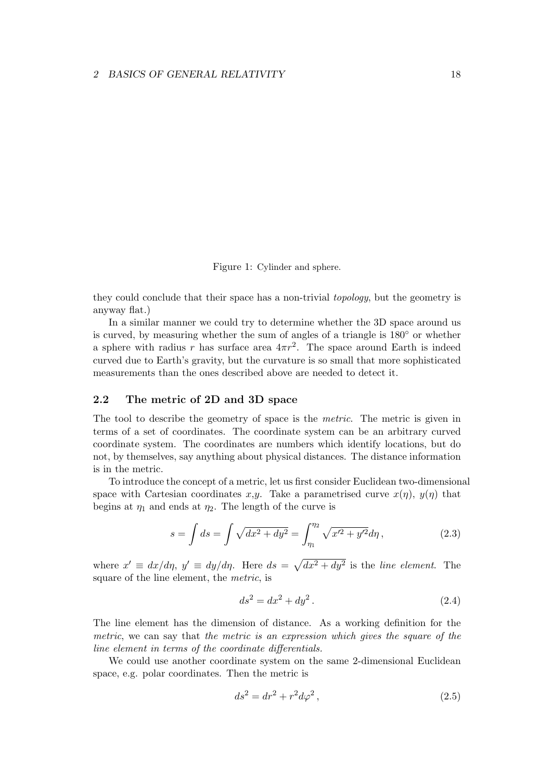Figure 1: Cylinder and sphere.

they could conclude that their space has a non-trivial topology, but the geometry is anyway flat.)

In a similar manner we could try to determine whether the 3D space around us is curved, by measuring whether the sum of angles of a triangle is 180◦ or whether a sphere with radius r has surface area  $4\pi r^2$ . The space around Earth is indeed curved due to Earth's gravity, but the curvature is so small that more sophisticated measurements than the ones described above are needed to detect it.

# 2.2 The metric of 2D and 3D space

The tool to describe the geometry of space is the metric. The metric is given in terms of a set of coordinates. The coordinate system can be an arbitrary curved coordinate system. The coordinates are numbers which identify locations, but do not, by themselves, say anything about physical distances. The distance information is in the metric.

To introduce the concept of a metric, let us first consider Euclidean two-dimensional space with Cartesian coordinates x,y. Take a parametrised curve  $x(\eta)$ ,  $y(\eta)$  that begins at  $\eta_1$  and ends at  $\eta_2$ . The length of the curve is

$$
s = \int ds = \int \sqrt{dx^2 + dy^2} = \int_{\eta_1}^{\eta_2} \sqrt{x'^2 + y'^2} d\eta, \qquad (2.3)
$$

where  $x' \equiv dx/d\eta$ ,  $y' \equiv dy/d\eta$ . Here  $ds = \sqrt{dx^2 + dy^2}$  is the line element. The square of the line element, the metric, is

$$
ds^2 = dx^2 + dy^2.
$$
 (2.4)

The line element has the dimension of distance. As a working definition for the metric, we can say that the metric is an expression which gives the square of the line element in terms of the coordinate differentials.

We could use another coordinate system on the same 2-dimensional Euclidean space, e.g. polar coordinates. Then the metric is

$$
ds^2 = dr^2 + r^2 d\varphi^2, \qquad (2.5)
$$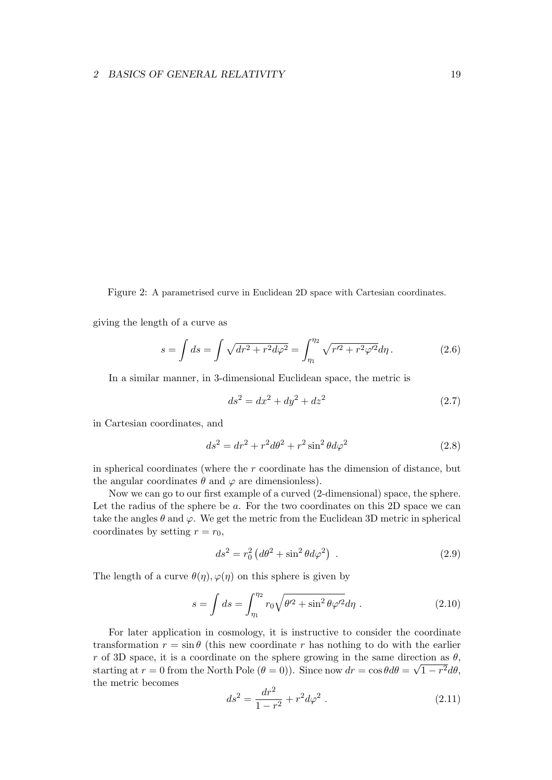Figure 2: A parametrised curve in Euclidean 2D space with Cartesian coordinates.

giving the length of a curve as

$$
s = \int ds = \int \sqrt{dr^2 + r^2 d\varphi^2} = \int_{\eta_1}^{\eta_2} \sqrt{r'^2 + r^2 \varphi'^2} d\eta. \tag{2.6}
$$

In a similar manner, in 3-dimensional Euclidean space, the metric is

$$
ds^2 = dx^2 + dy^2 + dz^2
$$
 (2.7)

in Cartesian coordinates, and

$$
ds^2 = dr^2 + r^2 d\theta^2 + r^2 \sin^2 \theta d\varphi^2 \qquad (2.8)
$$

in spherical coordinates (where the  $r$  coordinate has the dimension of distance, but the angular coordinates  $\theta$  and  $\varphi$  are dimensionless).

Now we can go to our first example of a curved (2-dimensional) space, the sphere. Let the radius of the sphere be  $a$ . For the two coordinates on this 2D space we can take the angles  $\theta$  and  $\varphi$ . We get the metric from the Euclidean 3D metric in spherical coordinates by setting  $r = r_0$ ,

$$
ds^2 = r_0^2 \left( d\theta^2 + \sin^2 \theta d\varphi^2 \right) \tag{2.9}
$$

The length of a curve  $\theta(\eta), \varphi(\eta)$  on this sphere is given by

$$
s = \int ds = \int_{\eta_1}^{\eta_2} r_0 \sqrt{\theta'^2 + \sin^2 \theta \varphi'^2} d\eta \ . \tag{2.10}
$$

For later application in cosmology, it is instructive to consider the coordinate transformation  $r = \sin \theta$  (this new coordinate r has nothing to do with the earlier r of 3D space, it is a coordinate on the sphere growing in the same direction as  $\theta$ , starting at  $r = 0$  from the North Pole  $(\theta = 0)$ ). Since now  $dr = \cos \theta d\theta = \sqrt{1 - r^2} d\theta$ , the metric becomes

$$
ds^2 = \frac{dr^2}{1 - r^2} + r^2 d\varphi^2 \ . \tag{2.11}
$$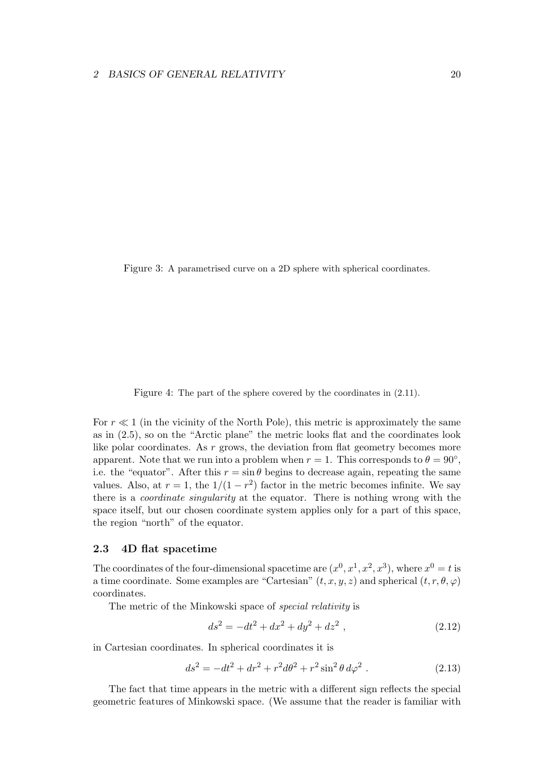Figure 3: A parametrised curve on a 2D sphere with spherical coordinates.

Figure 4: The part of the sphere covered by the coordinates in  $(2.11)$ .

For  $r \ll 1$  (in the vicinity of the North Pole), this metric is approximately the same as in (2.5), so on the "Arctic plane" the metric looks flat and the coordinates look like polar coordinates. As  $r$  grows, the deviation from flat geometry becomes more apparent. Note that we run into a problem when  $r = 1$ . This corresponds to  $\theta = 90^{\circ}$ , i.e. the "equator". After this  $r = \sin \theta$  begins to decrease again, repeating the same values. Also, at  $r = 1$ , the  $1/(1 - r^2)$  factor in the metric becomes infinite. We say there is a coordinate singularity at the equator. There is nothing wrong with the space itself, but our chosen coordinate system applies only for a part of this space, the region "north" of the equator.

## 2.3 4D flat spacetime

The coordinates of the four-dimensional spacetime are  $(x^0, x^1, x^2, x^3)$ , where  $x^0 = t$  is a time coordinate. Some examples are "Cartesian"  $(t, x, y, z)$  and spherical  $(t, r, \theta, \varphi)$ coordinates.

The metric of the Minkowski space of special relativity is

$$
ds^2 = -dt^2 + dx^2 + dy^2 + dz^2 , \qquad (2.12)
$$

in Cartesian coordinates. In spherical coordinates it is

$$
ds^{2} = -dt^{2} + dr^{2} + r^{2}d\theta^{2} + r^{2}\sin^{2}\theta \, d\varphi^{2} . \tag{2.13}
$$

The fact that time appears in the metric with a different sign reflects the special geometric features of Minkowski space. (We assume that the reader is familiar with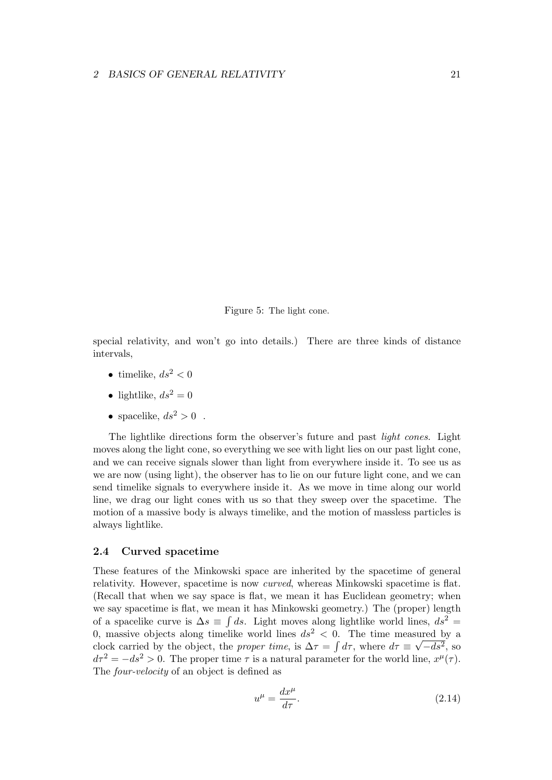Figure 5: The light cone.

special relativity, and won't go into details.) There are three kinds of distance intervals,

- timelike,  $ds^2 < 0$
- lightlike,  $ds^2 = 0$
- spacelike,  $ds^2 > 0$ .

The lightlike directions form the observer's future and past *light cones*. Light moves along the light cone, so everything we see with light lies on our past light cone, and we can receive signals slower than light from everywhere inside it. To see us as we are now (using light), the observer has to lie on our future light cone, and we can send timelike signals to everywhere inside it. As we move in time along our world line, we drag our light cones with us so that they sweep over the spacetime. The motion of a massive body is always timelike, and the motion of massless particles is always lightlike.

## 2.4 Curved spacetime

These features of the Minkowski space are inherited by the spacetime of general relativity. However, spacetime is now curved, whereas Minkowski spacetime is flat. (Recall that when we say space is flat, we mean it has Euclidean geometry; when we say spacetime is flat, we mean it has Minkowski geometry.) The (proper) length of a spacelike curve is  $\Delta s \equiv \int ds$ . Light moves along lightlike world lines,  $ds^2 =$ 0, massive objects along timelike world lines  $ds^2 < 0$ . The time measured by a clock carried by the object, the *proper time*, is  $\Delta \tau = \int d\tau$ , where  $d\tau \equiv \sqrt{-ds^2}$ , so  $d\tau^2 = -ds^2 > 0$ . The proper time  $\tau$  is a natural parameter for the world line,  $x^{\mu}(\tau)$ . The four-velocity of an object is defined as

$$
u^{\mu} = \frac{dx^{\mu}}{d\tau}.
$$
\n(2.14)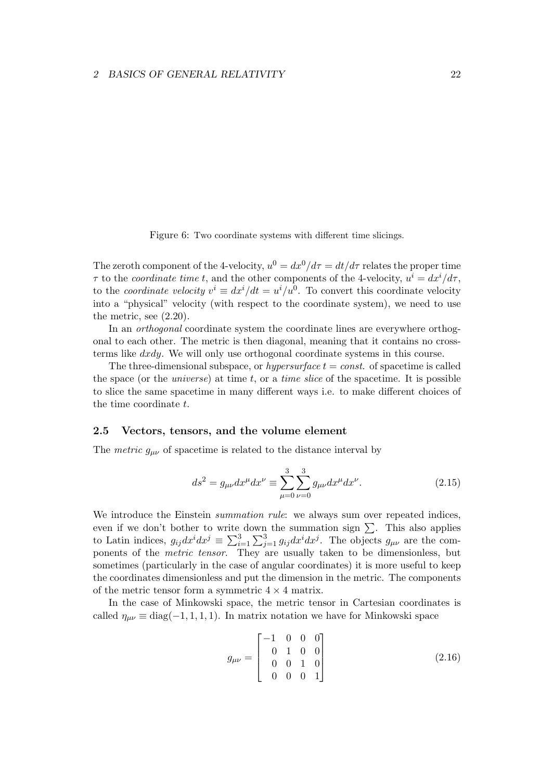Figure 6: Two coordinate systems with different time slicings.

The zeroth component of the 4-velocity,  $u^0 = dx^0/d\tau = dt/d\tau$  relates the proper time  $\tau$  to the *coordinate time t*, and the other components of the 4-velocity,  $u^i = dx^i/d\tau$ , to the *coordinate velocity*  $v^i \equiv dx^i/dt = u^i/u^0$ . To convert this coordinate velocity into a "physical" velocity (with respect to the coordinate system), we need to use the metric, see (2.20).

In an *orthogonal* coordinate system the coordinate lines are everywhere orthogonal to each other. The metric is then diagonal, meaning that it contains no crossterms like dxdy. We will only use orthogonal coordinate systems in this course.

The three-dimensional subspace, or *hypersurface*  $t = const.$  of spacetime is called the space (or the *universe*) at time  $t$ , or a *time slice* of the spacetime. It is possible to slice the same spacetime in many different ways i.e. to make different choices of the time coordinate  $t$ .

## 2.5 Vectors, tensors, and the volume element

The *metric*  $g_{\mu\nu}$  of spacetime is related to the distance interval by

$$
ds^{2} = g_{\mu\nu}dx^{\mu}dx^{\nu} \equiv \sum_{\mu=0}^{3} \sum_{\nu=0}^{3} g_{\mu\nu}dx^{\mu}dx^{\nu}.
$$
 (2.15)

We introduce the Einstein *summation rule*: we always sum over repeated indices, even if we don't bother to write down the summation sign  $\Sigma$ . This also applies to Latin indices,  $g_{ij}dx^idx^j \equiv \sum_{i=1}^3\sum_{j=1}^3g_{ij}dx^idx^j$ . The objects  $g_{\mu\nu}$  are the components of the metric tensor. They are usually taken to be dimensionless, but sometimes (particularly in the case of angular coordinates) it is more useful to keep the coordinates dimensionless and put the dimension in the metric. The components of the metric tensor form a symmetric  $4 \times 4$  matrix.

In the case of Minkowski space, the metric tensor in Cartesian coordinates is called  $\eta_{\mu\nu} \equiv \text{diag}(-1, 1, 1, 1)$ . In matrix notation we have for Minkowski space

$$
g_{\mu\nu} = \begin{bmatrix} -1 & 0 & 0 & 0 \\ 0 & 1 & 0 & 0 \\ 0 & 0 & 1 & 0 \\ 0 & 0 & 0 & 1 \end{bmatrix}
$$
 (2.16)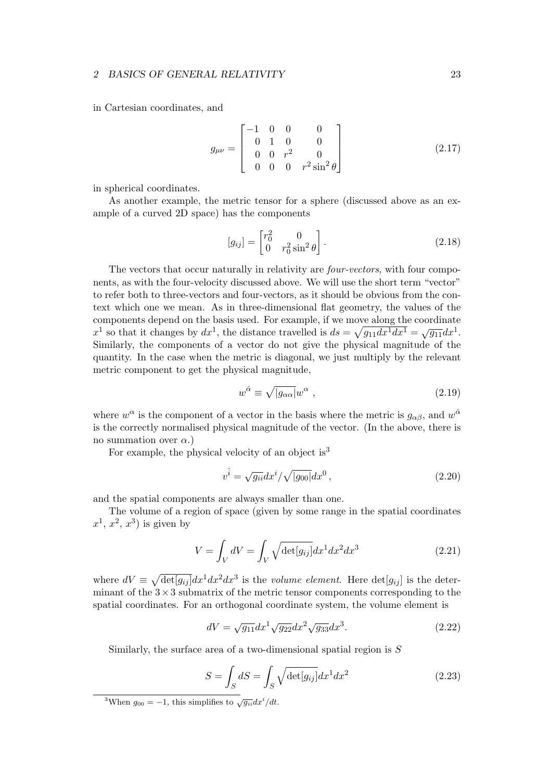in Cartesian coordinates, and

$$
g_{\mu\nu} = \begin{bmatrix} -1 & 0 & 0 & 0 \\ 0 & 1 & 0 & 0 \\ 0 & 0 & r^2 & 0 \\ 0 & 0 & 0 & r^2 \sin^2 \theta \end{bmatrix}
$$
 (2.17)

in spherical coordinates.

As another example, the metric tensor for a sphere (discussed above as an example of a curved 2D space) has the components

$$
[g_{ij}] = \begin{bmatrix} r_0^2 & 0\\ 0 & r_0^2 \sin^2 \theta \end{bmatrix}.
$$
 (2.18)

The vectors that occur naturally in relativity are *four-vectors*, with four components, as with the four-velocity discussed above. We will use the short term "vector" to refer both to three-vectors and four-vectors, as it should be obvious from the context which one we mean. As in three-dimensional flat geometry, the values of the components depend on the basis used. For example, if we move along the coordinate components depend on the basis used. For example, if we move along the coordinate  $x^1$  so that it changes by  $dx^1$ , the distance travelled is  $ds = \sqrt{g_{11}dx^1}dx^1 = \sqrt{g_{11}}dx^1$ . Similarly, the components of a vector do not give the physical magnitude of the quantity. In the case when the metric is diagonal, we just multiply by the relevant metric component to get the physical magnitude,

$$
w^{\hat{\alpha}} \equiv \sqrt{|g_{\alpha\alpha}|} w^{\alpha} , \qquad (2.19)
$$

where  $w^{\alpha}$  is the component of a vector in the basis where the metric is  $g_{\alpha\beta}$ , and  $w^{\hat{\alpha}}$ is the correctly normalised physical magnitude of the vector. (In the above, there is no summation over  $\alpha$ .)

For example, the physical velocity of an object is<sup>3</sup>

$$
v^{\hat{i}} = \sqrt{g_{ii}} dx^{i} / \sqrt{|g_{00}|} dx^{0}, \qquad (2.20)
$$

and the spatial components are always smaller than one.

The volume of a region of space (given by some range in the spatial coordinates  $x^1, x^2, x^3$  is given by

$$
V = \int_{V} dV = \int_{V} \sqrt{\det[g_{ij}]} dx^{1} dx^{2} dx^{3}
$$
\n(2.21)

where  $dV \equiv \sqrt{\det[g_{ij}]} dx^1 dx^2 dx^3$  is the *volume element*. Here  $\det[g_{ij}]$  is the determinant of the  $3 \times 3$  submatrix of the metric tensor components corresponding to the spatial coordinates. For an orthogonal coordinate system, the volume element is

$$
dV = \sqrt{g_{11}} dx^1 \sqrt{g_{22}} dx^2 \sqrt{g_{33}} dx^3.
$$
 (2.22)

Similarly, the surface area of a two-dimensional spatial region is S

$$
S = \int_{S} dS = \int_{S} \sqrt{\det[g_{ij}]} dx^{1} dx^{2}
$$
\n(2.23)

<sup>&</sup>lt;sup>3</sup>When  $g_{00} = -1$ , this simplifies to  $\sqrt{g_{ii}}dx^{i}/dt$ .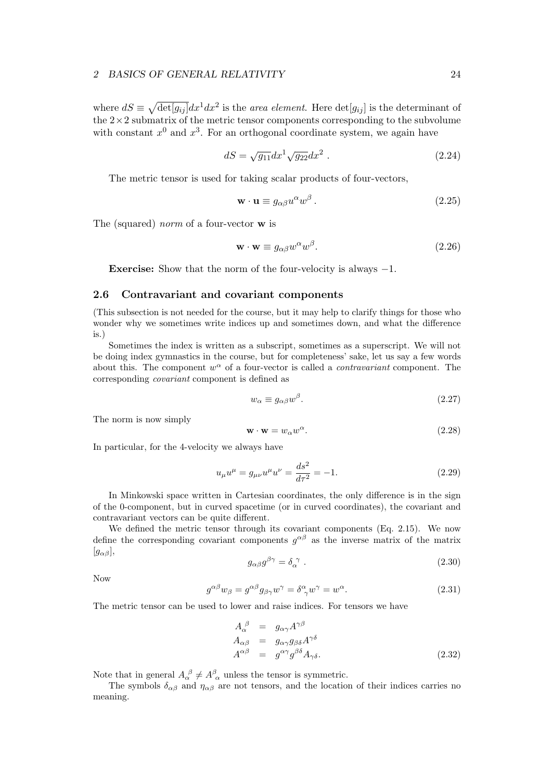where  $dS \equiv \sqrt{\det[g_{ij}]} dx^1 dx^2$  is the *area element*. Here  $\det[g_{ij}]$  is the determinant of the  $2\times 2$  submatrix of the metric tensor components corresponding to the subvolume with constant  $x^0$  and  $x^3$ . For an orthogonal coordinate system, we again have

$$
dS = \sqrt{g_{11}} dx^1 \sqrt{g_{22}} dx^2 . \qquad (2.24)
$$

The metric tensor is used for taking scalar products of four-vectors,

$$
\mathbf{w} \cdot \mathbf{u} \equiv g_{\alpha\beta} u^{\alpha} w^{\beta} . \tag{2.25}
$$

The (squared) norm of a four-vector w is

$$
\mathbf{w} \cdot \mathbf{w} \equiv g_{\alpha\beta} w^{\alpha} w^{\beta}.
$$
 (2.26)

Exercise: Show that the norm of the four-velocity is always −1.

## 2.6 Contravariant and covariant components

(This subsection is not needed for the course, but it may help to clarify things for those who wonder why we sometimes write indices up and sometimes down, and what the difference is.)

Sometimes the index is written as a subscript, sometimes as a superscript. We will not be doing index gymnastics in the course, but for completeness' sake, let us say a few words about this. The component  $w^{\alpha}$  of a four-vector is called a *contravariant* component. The corresponding covariant component is defined as

$$
w_{\alpha} \equiv g_{\alpha\beta} w^{\beta}.
$$
\n<sup>(2.27)</sup>

The norm is now simply

$$
\mathbf{w} \cdot \mathbf{w} = w_{\alpha} w^{\alpha}.
$$
 (2.28)

In particular, for the 4-velocity we always have

$$
u_{\mu}u^{\mu} = g_{\mu\nu}u^{\mu}u^{\nu} = \frac{ds^2}{d\tau^2} = -1.
$$
 (2.29)

In Minkowski space written in Cartesian coordinates, the only difference is in the sign of the 0-component, but in curved spacetime (or in curved coordinates), the covariant and contravariant vectors can be quite different.

We defined the metric tensor through its covariant components (Eq. 2.15). We now define the corresponding covariant components  $g^{\alpha\beta}$  as the inverse matrix of the matrix  $[g_{\alpha\beta}],$ 

$$
g_{\alpha\beta}g^{\beta\gamma} = \delta_{\alpha}^{\ \gamma} \ . \tag{2.30}
$$

Now

$$
g^{\alpha\beta}w_{\beta} = g^{\alpha\beta}g_{\beta\gamma}w^{\gamma} = \delta^{\alpha}_{\gamma}w^{\gamma} = w^{\alpha}.
$$
 (2.31)

The metric tensor can be used to lower and raise indices. For tensors we have

$$
A_{\alpha}^{\ \beta} = g_{\alpha\gamma} A^{\gamma\beta} A_{\alpha\beta} = g_{\alpha\gamma} g_{\beta\delta} A^{\gamma\delta} A^{\alpha\beta} = g^{\alpha\gamma} g^{\beta\delta} A_{\gamma\delta}.
$$
 (2.32)

Note that in general  $A_{\alpha}^{\ \beta} \neq A_{\ \alpha}^{\beta}$  unless the tensor is symmetric.

The symbols  $\delta_{\alpha\beta}$  and  $\eta_{\alpha\beta}$  are not tensors, and the location of their indices carries no meaning.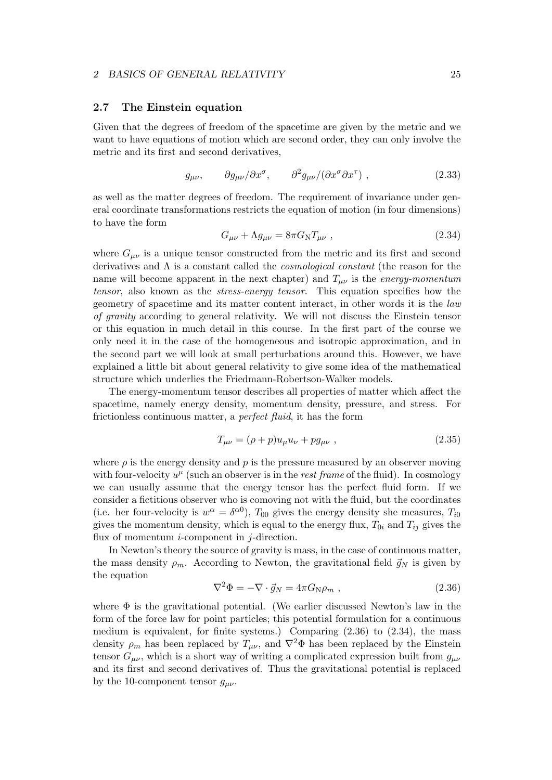## 2.7 The Einstein equation

Given that the degrees of freedom of the spacetime are given by the metric and we want to have equations of motion which are second order, they can only involve the metric and its first and second derivatives,

$$
g_{\mu\nu}, \qquad \partial g_{\mu\nu}/\partial x^{\sigma}, \qquad \partial^2 g_{\mu\nu}/(\partial x^{\sigma} \partial x^{\tau}) , \qquad (2.33)
$$

as well as the matter degrees of freedom. The requirement of invariance under general coordinate transformations restricts the equation of motion (in four dimensions) to have the form

$$
G_{\mu\nu} + \Lambda g_{\mu\nu} = 8\pi G_{\rm N} T_{\mu\nu} , \qquad (2.34)
$$

where  $G_{\mu\nu}$  is a unique tensor constructed from the metric and its first and second derivatives and  $\Lambda$  is a constant called the *cosmological constant* (the reason for the name will become apparent in the next chapter) and  $T_{\mu\nu}$  is the *energy-momentum* tensor, also known as the stress-energy tensor. This equation specifies how the geometry of spacetime and its matter content interact, in other words it is the law of gravity according to general relativity. We will not discuss the Einstein tensor or this equation in much detail in this course. In the first part of the course we only need it in the case of the homogeneous and isotropic approximation, and in the second part we will look at small perturbations around this. However, we have explained a little bit about general relativity to give some idea of the mathematical structure which underlies the Friedmann-Robertson-Walker models.

The energy-momentum tensor describes all properties of matter which affect the spacetime, namely energy density, momentum density, pressure, and stress. For frictionless continuous matter, a perfect fluid, it has the form

$$
T_{\mu\nu} = (\rho + p)u_{\mu}u_{\nu} + pg_{\mu\nu} \t\t(2.35)
$$

where  $\rho$  is the energy density and p is the pressure measured by an observer moving with four-velocity  $u^{\mu}$  (such an observer is in the *rest frame* of the fluid). In cosmology we can usually assume that the energy tensor has the perfect fluid form. If we consider a fictitious observer who is comoving not with the fluid, but the coordinates (i.e. her four-velocity is  $w^{\alpha} = \delta^{\alpha 0}$ ),  $T_{00}$  gives the energy density she measures,  $T_{i0}$ gives the momentum density, which is equal to the energy flux,  $T_{0i}$  and  $T_{ij}$  gives the flux of momentum *i*-component in *j*-direction.

In Newton's theory the source of gravity is mass, in the case of continuous matter, the mass density  $\rho_m$ . According to Newton, the gravitational field  $\vec{g}_N$  is given by the equation

$$
\nabla^2 \Phi = -\nabla \cdot \vec{g}_N = 4\pi G_N \rho_m , \qquad (2.36)
$$

where  $\Phi$  is the gravitational potential. (We earlier discussed Newton's law in the form of the force law for point particles; this potential formulation for a continuous medium is equivalent, for finite systems.) Comparing  $(2.36)$  to  $(2.34)$ , the mass density  $\rho_m$  has been replaced by  $T_{\mu\nu}$ , and  $\nabla^2 \Phi$  has been replaced by the Einstein tensor  $G_{\mu\nu}$ , which is a short way of writing a complicated expression built from  $g_{\mu\nu}$ and its first and second derivatives of. Thus the gravitational potential is replaced by the 10-component tensor  $g_{\mu\nu}$ .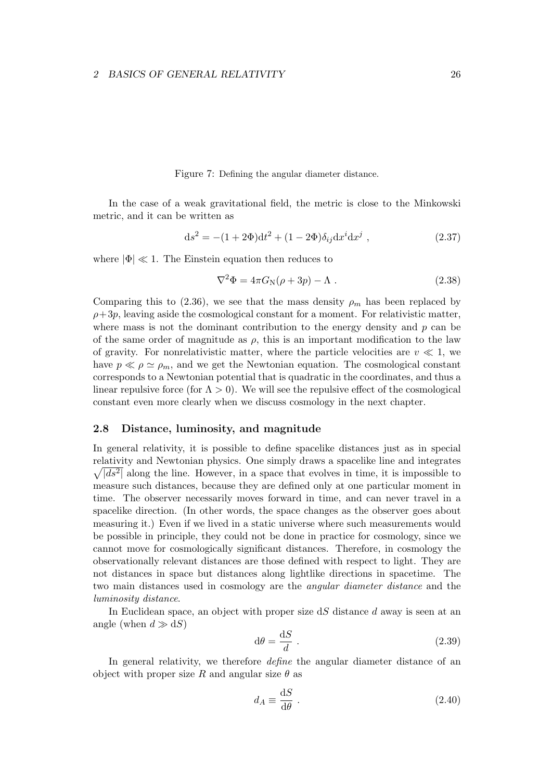Figure 7: Defining the angular diameter distance.

In the case of a weak gravitational field, the metric is close to the Minkowski metric, and it can be written as

$$
ds^{2} = -(1+2\Phi)dt^{2} + (1-2\Phi)\delta_{ij}dx^{i}dx^{j} , \qquad (2.37)
$$

where  $|\Phi| \ll 1$ . The Einstein equation then reduces to

$$
\nabla^2 \Phi = 4\pi G_N(\rho + 3p) - \Lambda . \qquad (2.38)
$$

Comparing this to (2.36), we see that the mass density  $\rho_m$  has been replaced by  $\rho+3p$ , leaving aside the cosmological constant for a moment. For relativistic matter, where mass is not the dominant contribution to the energy density and  $p$  can be of the same order of magnitude as  $\rho$ , this is an important modification to the law of gravity. For nonrelativistic matter, where the particle velocities are  $v \ll 1$ , we have  $p \ll \rho \simeq \rho_m$ , and we get the Newtonian equation. The cosmological constant corresponds to a Newtonian potential that is quadratic in the coordinates, and thus a linear repulsive force (for  $\Lambda > 0$ ). We will see the repulsive effect of the cosmological constant even more clearly when we discuss cosmology in the next chapter.

## 2.8 Distance, luminosity, and magnitude

In general relativity, it is possible to define spacelike distances just as in special relativity and Newtonian physics. One simply draws a spacelike line and integrates  $\sqrt{ds^2}$  along the line. However, in a space that evolves in time, it is impossible to measure such distances, because they are defined only at one particular moment in time. The observer necessarily moves forward in time, and can never travel in a spacelike direction. (In other words, the space changes as the observer goes about measuring it.) Even if we lived in a static universe where such measurements would be possible in principle, they could not be done in practice for cosmology, since we cannot move for cosmologically significant distances. Therefore, in cosmology the observationally relevant distances are those defined with respect to light. They are not distances in space but distances along lightlike directions in spacetime. The two main distances used in cosmology are the angular diameter distance and the luminosity distance.

In Euclidean space, an object with proper size  $dS$  distance d away is seen at an angle (when  $d \gg dS$ )

$$
d\theta = \frac{dS}{d} \tag{2.39}
$$

In general relativity, we therefore *define* the angular diameter distance of an object with proper size R and angular size  $\theta$  as

$$
d_A \equiv \frac{\mathrm{d}S}{\mathrm{d}\theta} \ . \tag{2.40}
$$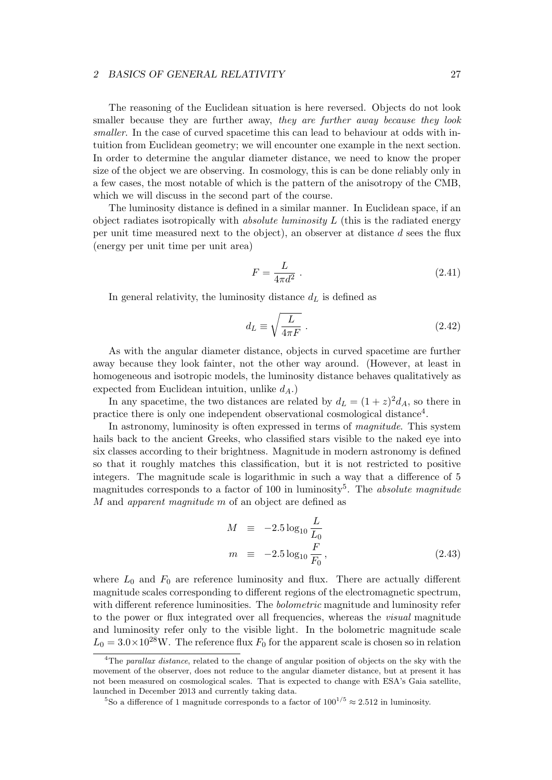The reasoning of the Euclidean situation is here reversed. Objects do not look smaller because they are further away, they are further away because they look smaller. In the case of curved spacetime this can lead to behaviour at odds with intuition from Euclidean geometry; we will encounter one example in the next section. In order to determine the angular diameter distance, we need to know the proper size of the object we are observing. In cosmology, this is can be done reliably only in a few cases, the most notable of which is the pattern of the anisotropy of the CMB, which we will discuss in the second part of the course.

The luminosity distance is defined in a similar manner. In Euclidean space, if an object radiates isotropically with *absolute luminosity L* (this is the radiated energy per unit time measured next to the object), an observer at distance d sees the flux (energy per unit time per unit area)

$$
F = \frac{L}{4\pi d^2} \tag{2.41}
$$

In general relativity, the luminosity distance  $d<sub>L</sub>$  is defined as

$$
d_L \equiv \sqrt{\frac{L}{4\pi F}} \ . \tag{2.42}
$$

As with the angular diameter distance, objects in curved spacetime are further away because they look fainter, not the other way around. (However, at least in homogeneous and isotropic models, the luminosity distance behaves qualitatively as expected from Euclidean intuition, unlike  $d_A$ .)

In any spacetime, the two distances are related by  $d_L = (1 + z)^2 d_A$ , so there in practice there is only one independent observational cosmological distance<sup>4</sup>.

In astronomy, luminosity is often expressed in terms of *magnitude*. This system hails back to the ancient Greeks, who classified stars visible to the naked eye into six classes according to their brightness. Magnitude in modern astronomy is defined so that it roughly matches this classification, but it is not restricted to positive integers. The magnitude scale is logarithmic in such a way that a difference of 5 magnitudes corresponds to a factor of 100 in luminosity<sup>5</sup>. The *absolute magnitude* M and apparent magnitude m of an object are defined as

$$
M \equiv -2.5 \log_{10} \frac{L}{L_0}
$$
  

$$
m \equiv -2.5 \log_{10} \frac{F}{F_0},
$$
 (2.43)

where  $L_0$  and  $F_0$  are reference luminosity and flux. There are actually different magnitude scales corresponding to different regions of the electromagnetic spectrum, with different reference luminosities. The *bolometric* magnitude and luminosity refer to the power or flux integrated over all frequencies, whereas the visual magnitude and luminosity refer only to the visible light. In the bolometric magnitude scale  $L_0 = 3.0 \times 10^{28}$ W. The reference flux  $F_0$  for the apparent scale is chosen so in relation

 ${}^{4}$ The parallax distance, related to the change of angular position of objects on the sky with the movement of the observer, does not reduce to the angular diameter distance, but at present it has not been measured on cosmological scales. That is expected to change with ESA's Gaia satellite, launched in December 2013 and currently taking data.

<sup>&</sup>lt;sup>5</sup>So a difference of 1 magnitude corresponds to a factor of  $100^{1/5} \approx 2.512$  in luminosity.